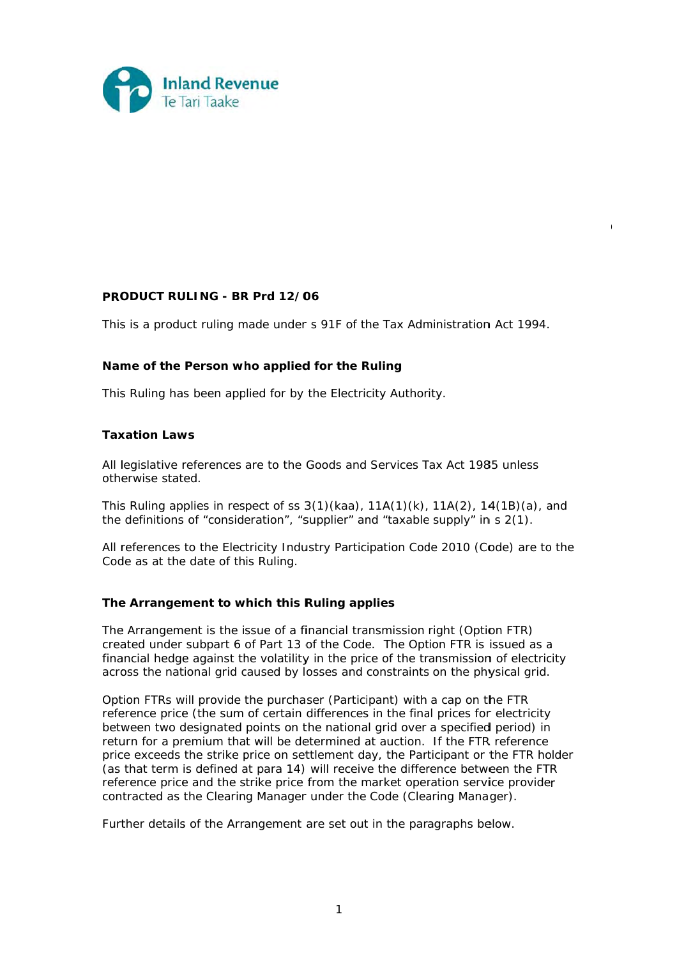

# **PRO ODUCT RU ULING - BR R Prd 12/0 06**

This is a product ruling made under s 91F of the Tax Administration Act 1994.

04 978-1630

# Name of the Person who applied for the Ruling

This Ruling has been applied for by the Electricity Authority.

## **Tax xation Law ws**

All legislative references are to the Goods and Services Tax Act 1985 unless otherwise stated.

This Ruling applies in respect of ss  $3(1)(kaa)$ ,  $11A(1)(k)$ ,  $11A(2)$ ,  $14(1B)(a)$ , and the definitions of "consideration", "supplier" and "taxable supply" in s 2(1).

All references to the Electricity Industry Participation Code 2010 (Code) are to the Code as at the date of this Ruling.

# **The Arrangement to which this Ruling applies**

The Arrangement is the issue of a financial transmission right (Option FTR) created under subpart 6 of Part 13 of the Code. The Option FTR is issued as a financial hedge against the volatility in the price of the transmission of electricity across the national grid caused by losses and constraints on the physical grid.

Option FTRs will provide the purchaser (Participant) with a cap on the FTR reference price (the sum of certain differences in the final prices for electricity between two designated points on the national grid over a specified period) in return for a premium that will be determined at auction. If the FTR reference price exceeds the strike price on settlement day, the Participant or the FTR holder (as that term is defined at para 14) will receive the difference between the FTR reference price and the strike price from the market operation service provider contracted as the Clearing Manager under the Code (Clearing Manager).

Further details of the Arrangement are set out in the paragraphs below.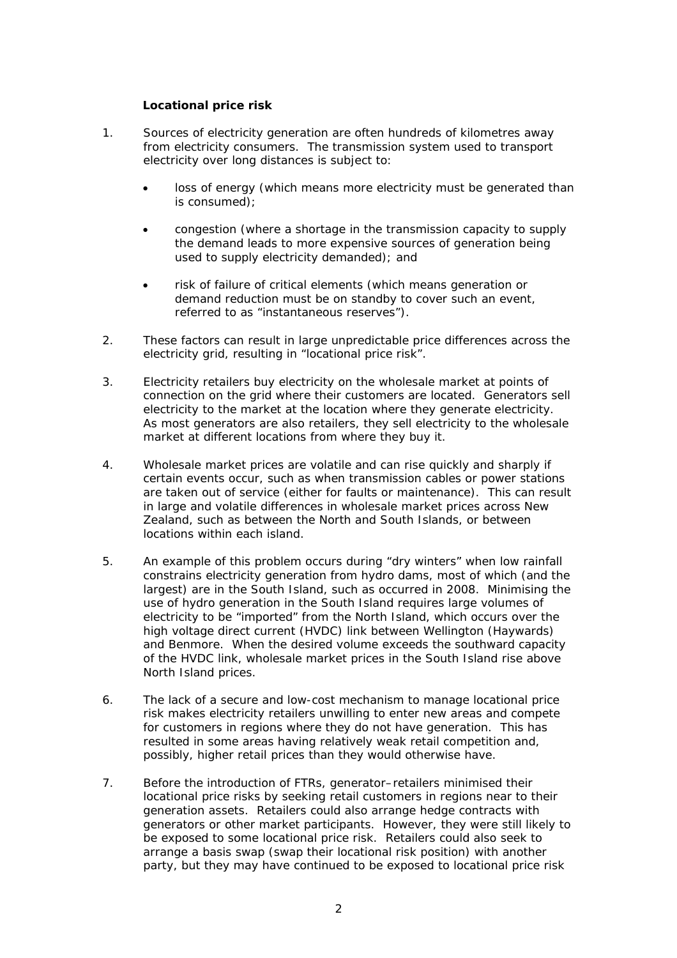# **Locational price risk**

- 1. Sources of electricity generation are often hundreds of kilometres away from electricity consumers. The transmission system used to transport electricity over long distances is subject to:
	- loss of energy (which means more electricity must be generated than is consumed);
	- congestion (where a shortage in the transmission capacity to supply the demand leads to more expensive sources of generation being used to supply electricity demanded); and
	- risk of failure of critical elements (which means generation or demand reduction must be on standby to cover such an event, referred to as "instantaneous reserves").
- 2. These factors can result in large unpredictable price differences across the electricity grid, resulting in "locational price risk".
- 3. Electricity retailers buy electricity on the wholesale market at points of connection on the grid where their customers are located. Generators sell electricity to the market at the location where they generate electricity. As most generators are also retailers, they sell electricity to the wholesale market at different locations from where they buy it.
- 4. Wholesale market prices are volatile and can rise quickly and sharply if certain events occur, such as when transmission cables or power stations are taken out of service (either for faults or maintenance). This can result in large and volatile differences in wholesale market prices across New Zealand, such as between the North and South Islands, or between locations within each island.
- 5. An example of this problem occurs during "dry winters" when low rainfall constrains electricity generation from hydro dams, most of which (and the largest) are in the South Island, such as occurred in 2008. Minimising the use of hydro generation in the South Island requires large volumes of electricity to be "imported" from the North Island, which occurs over the high voltage direct current (HVDC) link between Wellington (Haywards) and Benmore. When the desired volume exceeds the southward capacity of the HVDC link, wholesale market prices in the South Island rise above North Island prices.
- 6. The lack of a secure and low-cost mechanism to manage locational price risk makes electricity retailers unwilling to enter new areas and compete for customers in regions where they do not have generation. This has resulted in some areas having relatively weak retail competition and, possibly, higher retail prices than they would otherwise have.
- 7. Before the introduction of FTRs, generator–retailers minimised their locational price risks by seeking retail customers in regions near to their generation assets. Retailers could also arrange hedge contracts with generators or other market participants. However, they were still likely to be exposed to some locational price risk. Retailers could also seek to arrange a basis swap (swap their locational risk position) with another party, but they may have continued to be exposed to locational price risk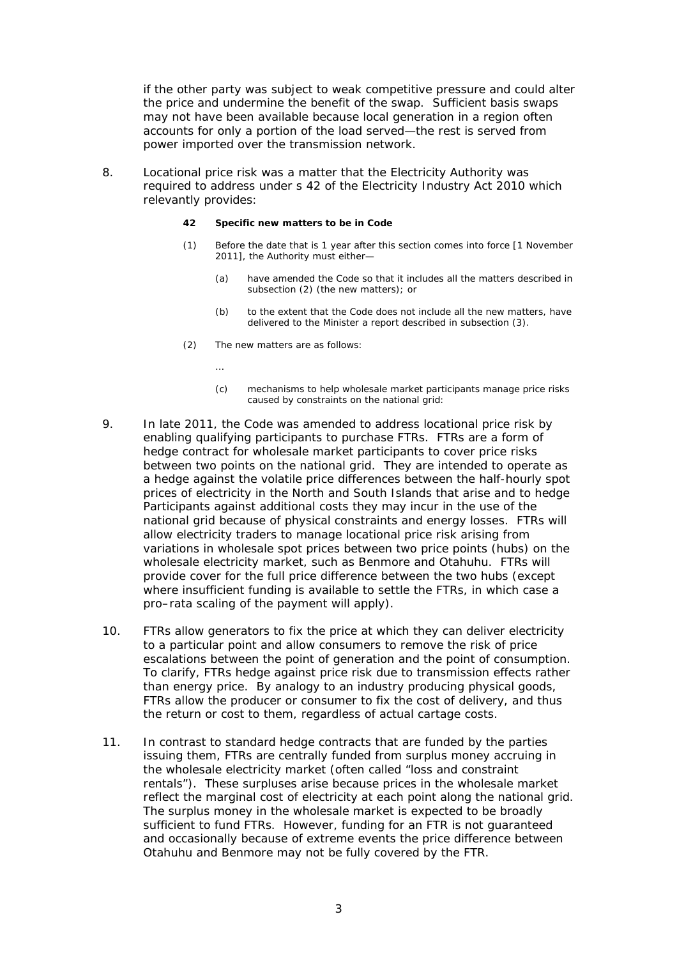if the other party was subject to weak competitive pressure and could alter the price and undermine the benefit of the swap. Sufficient basis swaps may not have been available because local generation in a region often accounts for only a portion of the load served—the rest is served from power imported over the transmission network.

8. Locational price risk was a matter that the Electricity Authority was required to address under s 42 of the Electricity Industry Act 2010 which relevantly provides:

### **42 Specific new matters to be in Code**

- (1) Before the date that is 1 year after this section comes into force [1 November 2011], the Authority must either—
	- (a) have amended the Code so that it includes all the matters described in subsection (2) (the new matters); or
	- (b) to the extent that the Code does not include all the new matters, have delivered to the Minister a report described in subsection (3).
- (2) The new matters are as follows:

…

- (c) mechanisms to help wholesale market participants manage price risks caused by constraints on the national grid:
- 9. In late 2011, the Code was amended to address locational price risk by enabling qualifying participants to purchase FTRs. FTRs are a form of hedge contract for wholesale market participants to cover price risks between two points on the national grid. They are intended to operate as a hedge against the volatile price differences between the half-hourly spot prices of electricity in the North and South Islands that arise and to hedge Participants against additional costs they may incur in the use of the national grid because of physical constraints and energy losses. FTRs will allow electricity traders to manage locational price risk arising from variations in wholesale spot prices between two price points (hubs) on the wholesale electricity market, such as Benmore and Otahuhu. FTRs will provide cover for the full price difference between the two hubs (except where insufficient funding is available to settle the FTRs, in which case a pro–rata scaling of the payment will apply).
- 10. FTRs allow generators to fix the price at which they can deliver electricity to a particular point and allow consumers to remove the risk of price escalations between the point of generation and the point of consumption. To clarify, FTRs hedge against price risk due to transmission effects rather than energy price. By analogy to an industry producing physical goods, FTRs allow the producer or consumer to fix the cost of delivery, and thus the return or cost to them, regardless of actual cartage costs.
- 11. In contrast to standard hedge contracts that are funded by the parties issuing them, FTRs are centrally funded from surplus money accruing in the wholesale electricity market (often called "loss and constraint rentals"). These surpluses arise because prices in the wholesale market reflect the marginal cost of electricity at each point along the national grid. The surplus money in the wholesale market is expected to be broadly sufficient to fund FTRs. However, funding for an FTR is not guaranteed and occasionally because of extreme events the price difference between Otahuhu and Benmore may not be fully covered by the FTR.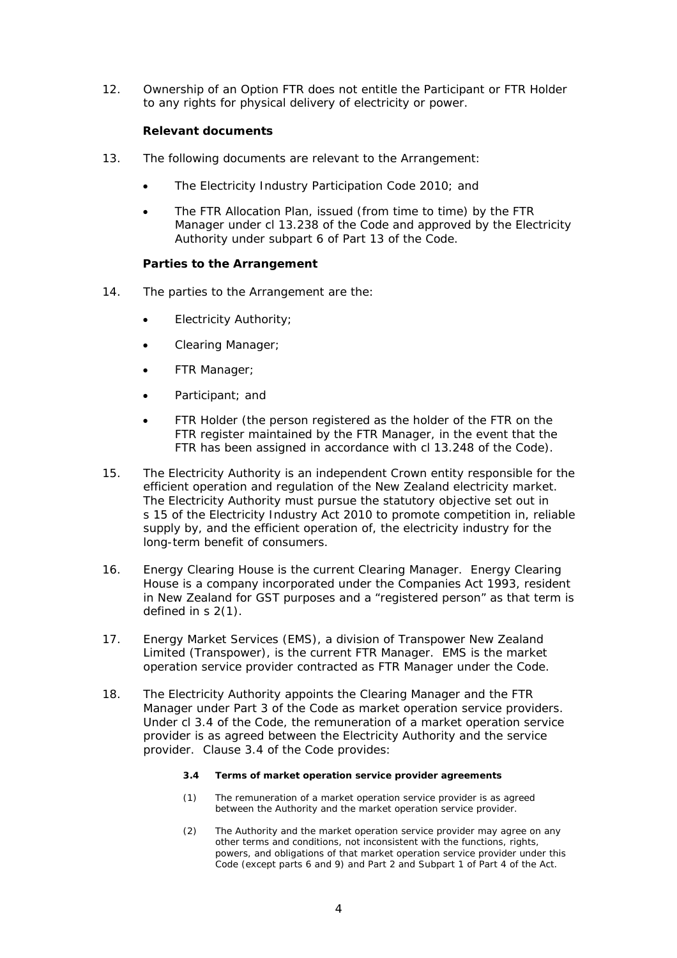12. Ownership of an Option FTR does not entitle the Participant or FTR Holder to any rights for physical delivery of electricity or power.

# **Relevant documents**

- 13. The following documents are relevant to the Arrangement:
	- The Electricity Industry Participation Code 2010; and
	- The FTR Allocation Plan, issued (from time to time) by the FTR Manager under cl 13.238 of the Code and approved by the Electricity Authority under subpart 6 of Part 13 of the Code.

# **Parties to the Arrangement**

- 14. The parties to the Arrangement are the:
	- Electricity Authority;
	- Clearing Manager;
	- FTR Manager;
	- Participant; and
	- FTR Holder (the person registered as the holder of the FTR on the FTR register maintained by the FTR Manager, in the event that the FTR has been assigned in accordance with cl 13.248 of the Code).
- 15. The Electricity Authority is an independent Crown entity responsible for the efficient operation and regulation of the New Zealand electricity market. The Electricity Authority must pursue the statutory objective set out in s 15 of the Electricity Industry Act 2010 to promote competition in, reliable supply by, and the efficient operation of, the electricity industry for the long-term benefit of consumers.
- 16. Energy Clearing House is the current Clearing Manager. Energy Clearing House is a company incorporated under the Companies Act 1993, resident in New Zealand for GST purposes and a "registered person" as that term is defined in s 2(1).
- 17. Energy Market Services (EMS), a division of Transpower New Zealand Limited (Transpower), is the current FTR Manager. EMS is the market operation service provider contracted as FTR Manager under the Code.
- 18. The Electricity Authority appoints the Clearing Manager and the FTR Manager under Part 3 of the Code as market operation service providers. Under cl 3.4 of the Code, the remuneration of a market operation service provider is as agreed between the Electricity Authority and the service provider. Clause 3.4 of the Code provides:

## **3.4 Terms of market operation service provider agreements**

- (1) The remuneration of a market operation service provider is as agreed between the Authority and the market operation service provider.
- (2) The Authority and the market operation service provider may agree on any other terms and conditions, not inconsistent with the functions, rights, powers, and obligations of that market operation service provider under this Code (except parts 6 and 9) and Part 2 and Subpart 1 of Part 4 of the Act.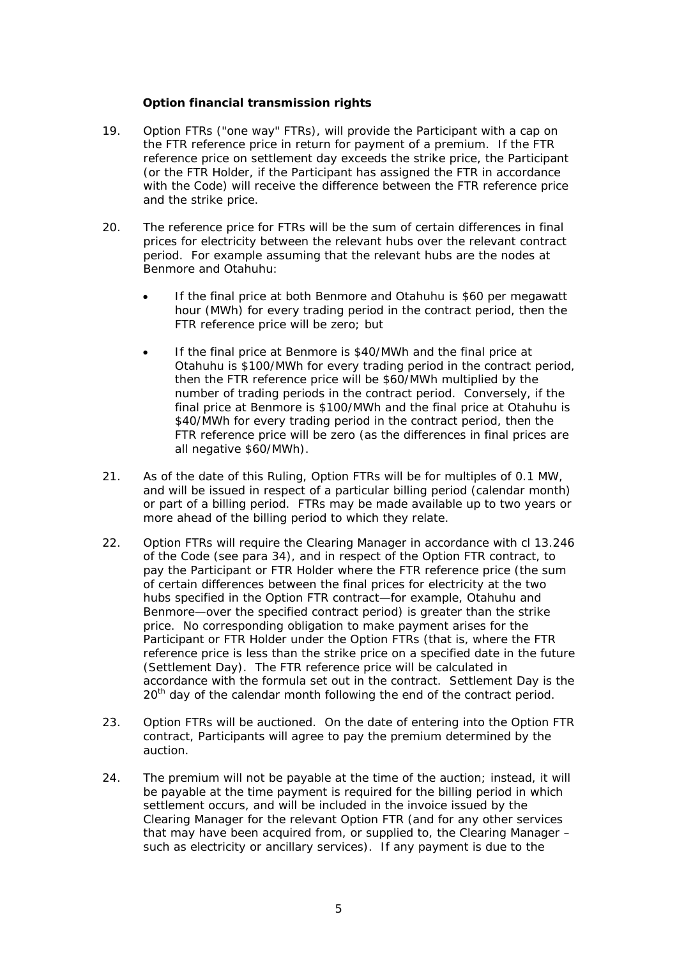# **Option financial transmission rights**

- 19. Option FTRs ("one way" FTRs), will provide the Participant with a cap on the FTR reference price in return for payment of a premium. If the FTR reference price on settlement day exceeds the strike price, the Participant (or the FTR Holder, if the Participant has assigned the FTR in accordance with the Code) will receive the difference between the FTR reference price and the strike price.
- 20. The reference price for FTRs will be the sum of certain differences in final prices for electricity between the relevant hubs over the relevant contract period. For example assuming that the relevant hubs are the nodes at Benmore and Otahuhu:
	- If the final price at both Benmore and Otahuhu is \$60 per megawatt hour (MWh) for every trading period in the contract period, then the FTR reference price will be zero; but
	- If the final price at Benmore is \$40/MWh and the final price at Otahuhu is \$100/MWh for every trading period in the contract period, then the FTR reference price will be \$60/MWh multiplied by the number of trading periods in the contract period. Conversely, if the final price at Benmore is \$100/MWh and the final price at Otahuhu is \$40/MWh for every trading period in the contract period, then the FTR reference price will be zero (as the differences in final prices are all negative \$60/MWh).
- 21. As of the date of this Ruling, Option FTRs will be for multiples of 0.1 MW, and will be issued in respect of a particular billing period (calendar month) or part of a billing period. FTRs may be made available up to two years or more ahead of the billing period to which they relate.
- 22. Option FTRs will require the Clearing Manager in accordance with cl 13.246 of the Code (see para 34), and in respect of the Option FTR contract, to pay the Participant or FTR Holder where the FTR reference price (the sum of certain differences between the final prices for electricity at the two hubs specified in the Option FTR contract—for example, Otahuhu and Benmore—over the specified contract period) is greater than the strike price. No corresponding obligation to make payment arises for the Participant or FTR Holder under the Option FTRs (that is, where the FTR reference price is less than the strike price on a specified date in the future (Settlement Day). The FTR reference price will be calculated in accordance with the formula set out in the contract. Settlement Day is the 20<sup>th</sup> day of the calendar month following the end of the contract period.
- 23. Option FTRs will be auctioned. On the date of entering into the Option FTR contract, Participants will agree to pay the premium determined by the auction.
- 24. The premium will not be payable at the time of the auction; instead, it will be payable at the time payment is required for the billing period in which settlement occurs, and will be included in the invoice issued by the Clearing Manager for the relevant Option FTR (and for any other services that may have been acquired from, or supplied to, the Clearing Manager – such as electricity or ancillary services). If any payment is due to the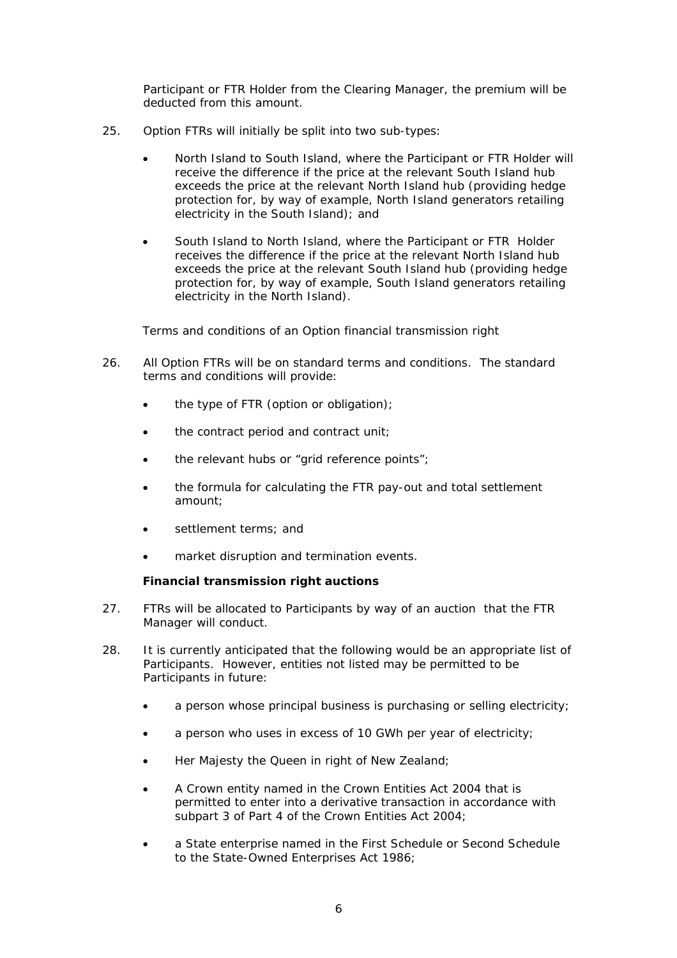Participant or FTR Holder from the Clearing Manager, the premium will be deducted from this amount.

- 25. Option FTRs will initially be split into two sub-types:
	- North Island to South Island, where the Participant or FTR Holder will receive the difference if the price at the relevant South Island hub exceeds the price at the relevant North Island hub (providing hedge protection for, by way of example, North Island generators retailing electricity in the South Island); and
	- South Island to North Island, where the Participant or FTR Holder receives the difference if the price at the relevant North Island hub exceeds the price at the relevant South Island hub (providing hedge protection for, by way of example, South Island generators retailing electricity in the North Island).

# *Terms and conditions of an Option financial transmission right*

- 26. All Option FTRs will be on standard terms and conditions. The standard terms and conditions will provide:
	- the type of FTR (option or obligation);
	- the contract period and contract unit;
	- the relevant hubs or "grid reference points";
	- the formula for calculating the FTR pay-out and total settlement amount;
	- settlement terms; and
	- market disruption and termination events.

# **Financial transmission right auctions**

- 27. FTRs will be allocated to Participants by way of an auction that the FTR Manager will conduct.
- 28. It is currently anticipated that the following would be an appropriate list of Participants. However, entities not listed may be permitted to be Participants in future:
	- a person whose principal business is purchasing or selling electricity;
	- a person who uses in excess of 10 GWh per year of electricity;
	- Her Majesty the Queen in right of New Zealand;
	- A Crown entity named in the Crown Entities Act 2004 that is permitted to enter into a derivative transaction in accordance with subpart 3 of Part 4 of the Crown Entities Act 2004;
	- a State enterprise named in the First Schedule or Second Schedule to the State-Owned Enterprises Act 1986;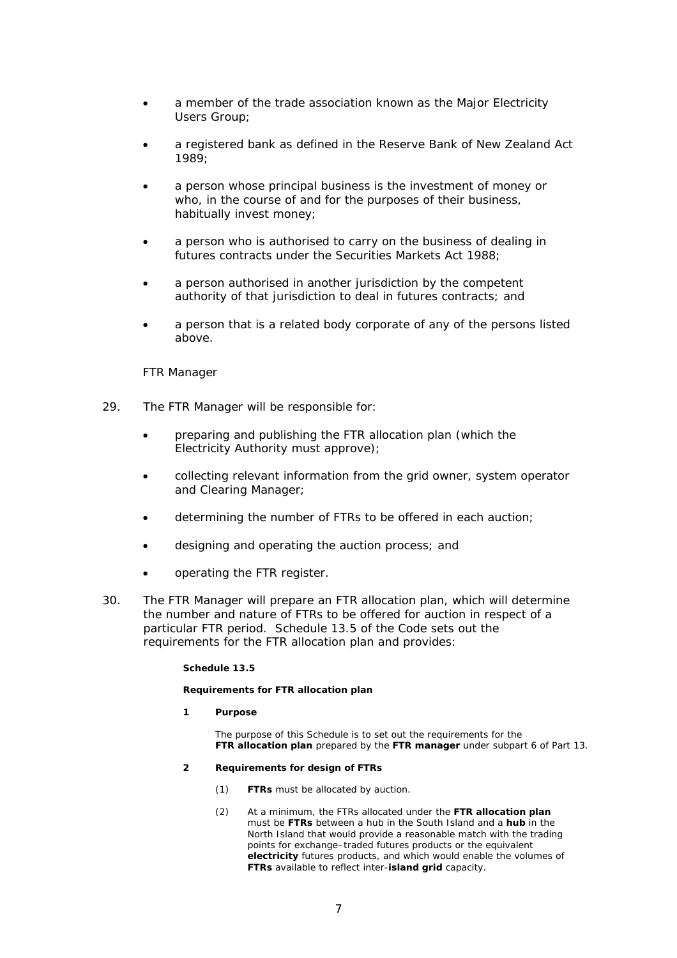- a member of the trade association known as the Major Electricity Users Group;
- a registered bank as defined in the Reserve Bank of New Zealand Act 1989;
- a person whose principal business is the investment of money or who, in the course of and for the purposes of their business, habitually invest money;
- a person who is authorised to carry on the business of dealing in futures contracts under the Securities Markets Act 1988;
- a person authorised in another jurisdiction by the competent authority of that jurisdiction to deal in futures contracts; and
- a person that is a related body corporate of any of the persons listed above.

# *FTR Manager*

- 29. The FTR Manager will be responsible for:
	- preparing and publishing the FTR allocation plan (which the Electricity Authority must approve);
	- collecting relevant information from the grid owner, system operator and Clearing Manager;
	- determining the number of FTRs to be offered in each auction;
	- designing and operating the auction process; and
	- operating the FTR register.
- 30. The FTR Manager will prepare an FTR allocation plan, which will determine the number and nature of FTRs to be offered for auction in respect of a particular FTR period. Schedule 13.5 of the Code sets out the requirements for the FTR allocation plan and provides:

## **Schedule 13.5**

### **Requirements for FTR allocation plan**

- **1 Purpose** 
	- The purpose of this Schedule is to set out the requirements for the **FTR allocation plan** prepared by the **FTR manager** under subpart 6 of Part 13.
- **2 Requirements for design of FTRs** 
	- (1) **FTRs** must be allocated by auction.
	- (2) At a minimum, the FTRs allocated under the **FTR allocation plan** must be **FTRs** between a hub in the South Island and a **hub** in the North Island that would provide a reasonable match with the trading points for exchange–traded futures products or the equivalent **electricity** futures products, and which would enable the volumes of **FTRs** available to reflect inter-**island grid** capacity.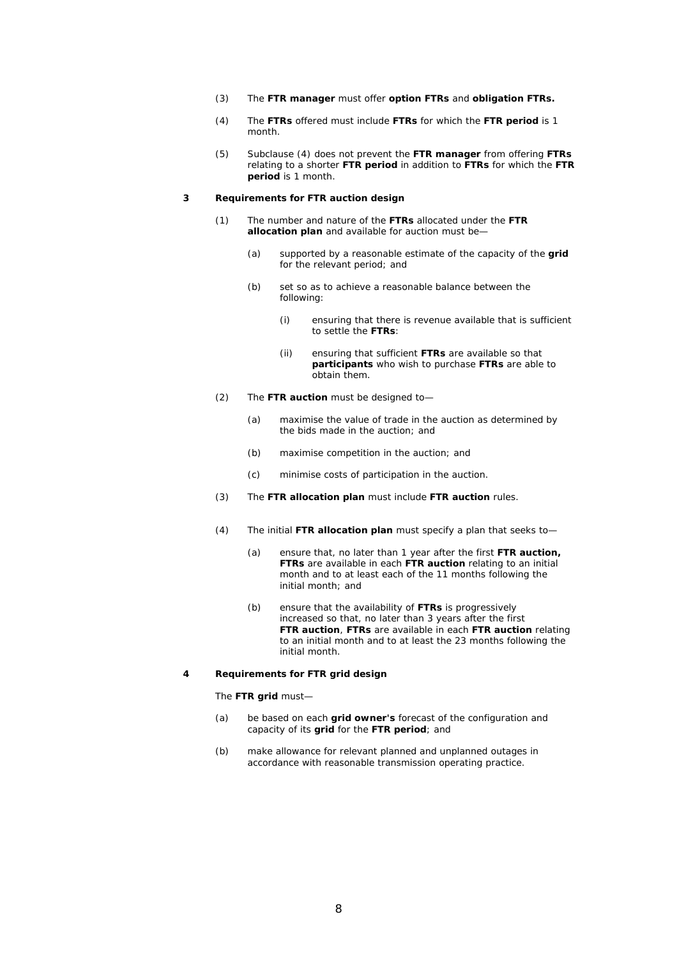- (3) The **FTR manager** must offer **option FTRs** and **obligation FTRs.**
- (4) The **FTRs** offered must include **FTRs** for which the **FTR period** is 1 month.
- (5) Subclause (4) does not prevent the **FTR manager** from offering **FTRs** relating to a shorter **FTR period** in addition to **FTRs** for which the **FTR period** is 1 month.

#### **3 Requirements for FTR auction design**

- (1) The number and nature of the **FTRs** allocated under the **FTR allocation plan** and available for auction must be—
	- (a) supported by a reasonable estimate of the capacity of the **grid** for the relevant period; and
	- (b) set so as to achieve a reasonable balance between the following:
		- (i) ensuring that there is revenue available that is sufficient to settle the **FTRs**:
		- (ii) ensuring that sufficient **FTRs** are available so that **participants** who wish to purchase **FTRs** are able to obtain them.
- (2) The **FTR auction** must be designed to—
	- (a) maximise the value of trade in the auction as determined by the bids made in the auction; and
	- (b) maximise competition in the auction; and
	- (c) minimise costs of participation in the auction.
- (3) The **FTR allocation plan** must include **FTR auction** rules.
- (4) The initial **FTR allocation plan** must specify a plan that seeks to—
	- (a) ensure that, no later than 1 year after the first **FTR auction, FTRs** are available in each **FTR auction** relating to an initial month and to at least each of the 11 months following the initial month; and
	- (b) ensure that the availability of **FTRs** is progressively increased so that, no later than 3 years after the first **FTR auction**, **FTRs** are available in each **FTR auction** relating to an initial month and to at least the 23 months following the initial month.

#### **4 Requirements for FTR grid design**

#### The **FTR grid** must—

- (a) be based on each **grid owner's** forecast of the configuration and capacity of its **grid** for the **FTR period**; and
- (b) make allowance for relevant planned and unplanned outages in accordance with reasonable transmission operating practice.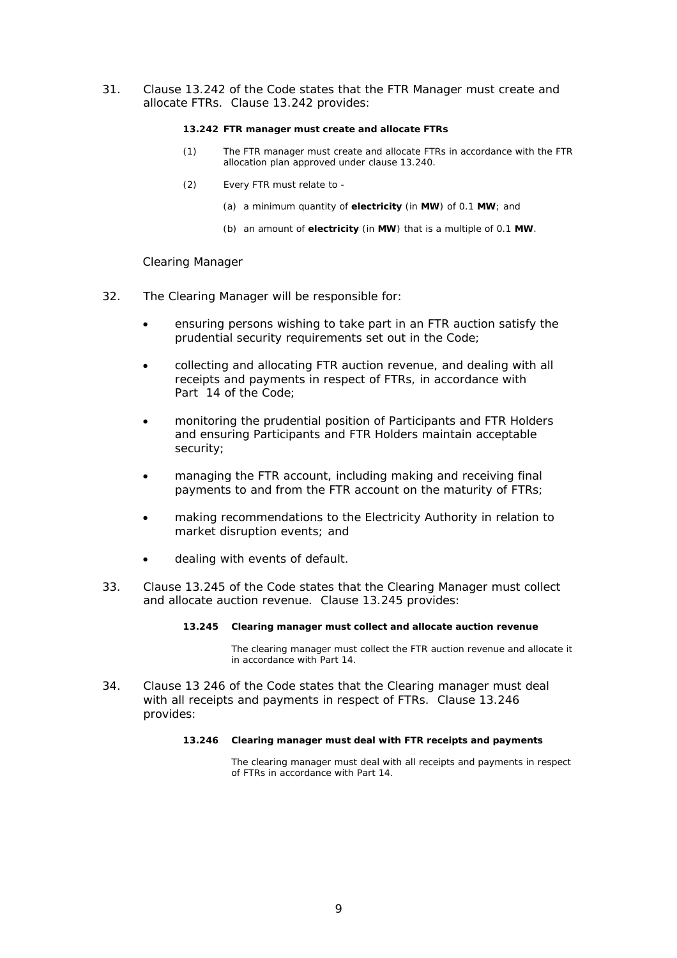31. Clause 13.242 of the Code states that the FTR Manager must create and allocate FTRs. Clause 13.242 provides:

### **13.242 FTR manager must create and allocate FTRs**

- (1) The FTR manager must create and allocate FTRs in accordance with the FTR allocation plan approved under clause 13.240.
- (2) Every FTR must relate to
	- (a) a minimum quantity of **electricity** (in **MW**) of 0.1 **MW**; and
	- (b) an amount of **electricity** (in **MW**) that is a multiple of 0.1 **MW**.

## *Clearing Manager*

- 32. The Clearing Manager will be responsible for:
	- ensuring persons wishing to take part in an FTR auction satisfy the prudential security requirements set out in the Code;
	- collecting and allocating FTR auction revenue, and dealing with all receipts and payments in respect of FTRs, in accordance with Part 14 of the Code;
	- monitoring the prudential position of Participants and FTR Holders and ensuring Participants and FTR Holders maintain acceptable security;
	- managing the FTR account, including making and receiving final payments to and from the FTR account on the maturity of FTRs;
	- making recommendations to the Electricity Authority in relation to market disruption events; and
	- dealing with events of default.
- 33. Clause 13.245 of the Code states that the Clearing Manager must collect and allocate auction revenue. Clause 13.245 provides:

## **13.245 Clearing manager must collect and allocate auction revenue**

The clearing manager must collect the FTR auction revenue and allocate it in accordance with Part 14.

34. Clause 13 246 of the Code states that the Clearing manager must deal with all receipts and payments in respect of FTRs. Clause 13.246 provides:

#### **13.246 Clearing manager must deal with FTR receipts and payments**

 The clearing manager must deal with all receipts and payments in respect of FTRs in accordance with Part 14.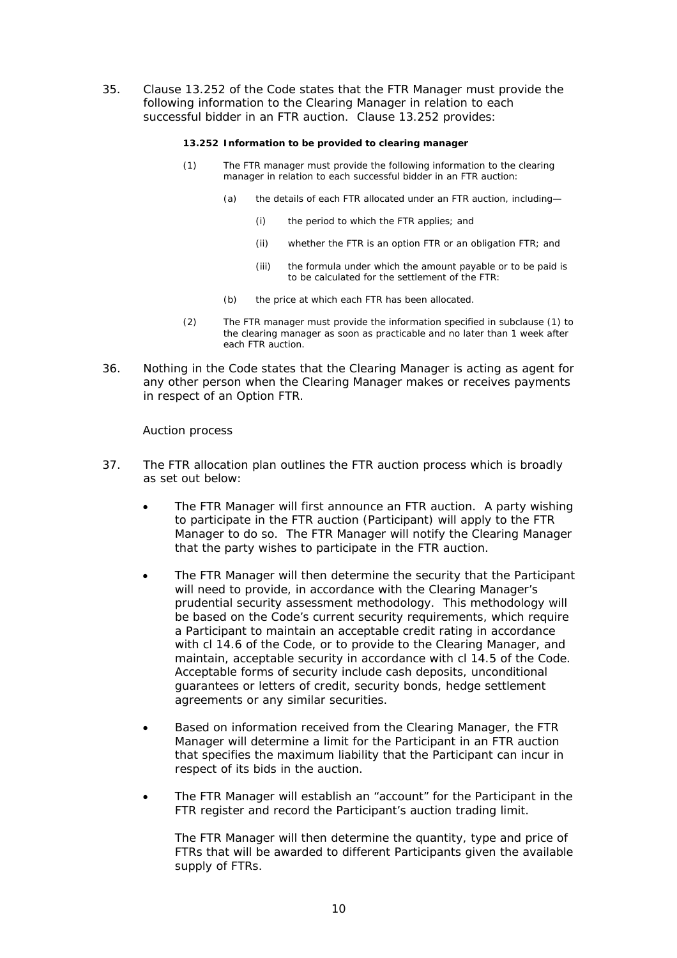35. Clause 13.252 of the Code states that the FTR Manager must provide the following information to the Clearing Manager in relation to each successful bidder in an FTR auction. Clause 13.252 provides:

### **13.252 Information to be provided to clearing manager**

- (1) The FTR manager must provide the following information to the clearing manager in relation to each successful bidder in an FTR auction:
	- (a) the details of each FTR allocated under an FTR auction, including—
		- (i) the period to which the FTR applies; and
		- (ii) whether the FTR is an option FTR or an obligation FTR; and
		- (iii) the formula under which the amount payable or to be paid is to be calculated for the settlement of the FTR:
	- (b) the price at which each FTR has been allocated.
- (2) The FTR manager must provide the information specified in subclause (1) to the clearing manager as soon as practicable and no later than 1 week after each FTR auction.
- 36. Nothing in the Code states that the Clearing Manager is acting as agent for any other person when the Clearing Manager makes or receives payments in respect of an Option FTR.

## *Auction process*

- 37. The FTR allocation plan outlines the FTR auction process which is broadly as set out below:
	- The FTR Manager will first announce an FTR auction. A party wishing to participate in the FTR auction (Participant) will apply to the FTR Manager to do so. The FTR Manager will notify the Clearing Manager that the party wishes to participate in the FTR auction.
	- The FTR Manager will then determine the security that the Participant will need to provide, in accordance with the Clearing Manager's prudential security assessment methodology. This methodology will be based on the Code's current security requirements, which require a Participant to maintain an acceptable credit rating in accordance with cl 14.6 of the Code, or to provide to the Clearing Manager, and maintain, acceptable security in accordance with cl 14.5 of the Code. Acceptable forms of security include cash deposits, unconditional guarantees or letters of credit, security bonds, hedge settlement agreements or any similar securities.
	- Based on information received from the Clearing Manager, the FTR Manager will determine a limit for the Participant in an FTR auction that specifies the maximum liability that the Participant can incur in respect of its bids in the auction.
	- The FTR Manager will establish an "account" for the Participant in the FTR register and record the Participant's auction trading limit.

The FTR Manager will then determine the quantity, type and price of FTRs that will be awarded to different Participants given the available supply of FTRs.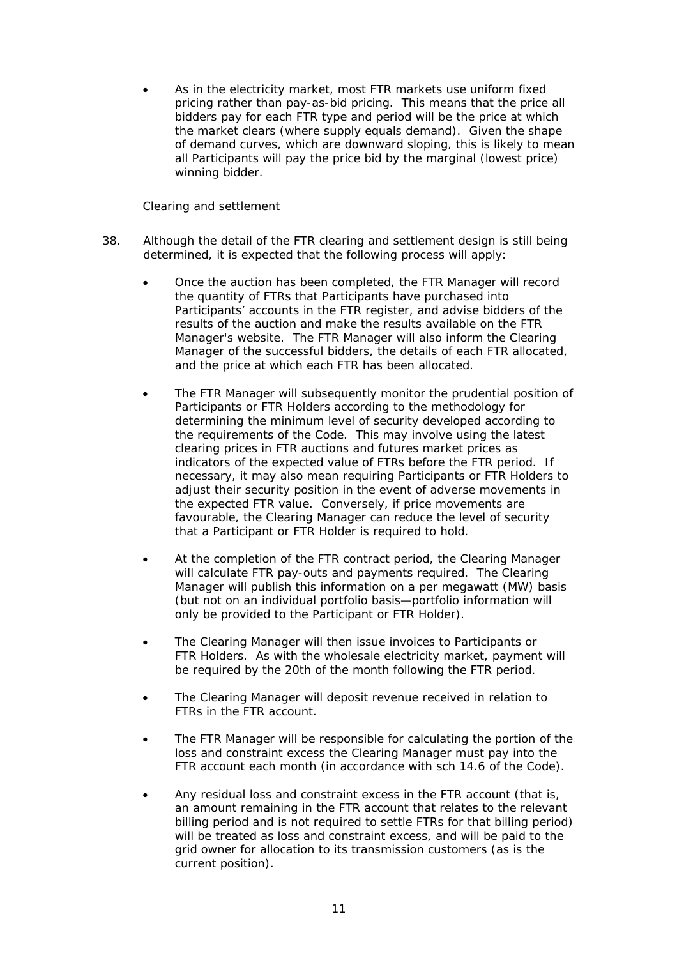As in the electricity market, most FTR markets use uniform fixed pricing rather than pay-as-bid pricing. This means that the price all bidders pay for each FTR type and period will be the price at which the market clears (where supply equals demand). Given the shape of demand curves, which are downward sloping, this is likely to mean all Participants will pay the price bid by the marginal (lowest price) winning bidder.

# *Clearing and settlement*

- 38. Although the detail of the FTR clearing and settlement design is still being determined, it is expected that the following process will apply:
	- Once the auction has been completed, the FTR Manager will record the quantity of FTRs that Participants have purchased into Participants' accounts in the FTR register, and advise bidders of the results of the auction and make the results available on the FTR Manager's website. The FTR Manager will also inform the Clearing Manager of the successful bidders, the details of each FTR allocated, and the price at which each FTR has been allocated.
	- The FTR Manager will subsequently monitor the prudential position of Participants or FTR Holders according to the methodology for determining the minimum level of security developed according to the requirements of the Code. This may involve using the latest clearing prices in FTR auctions and futures market prices as indicators of the expected value of FTRs before the FTR period. If necessary, it may also mean requiring Participants or FTR Holders to adjust their security position in the event of adverse movements in the expected FTR value. Conversely, if price movements are favourable, the Clearing Manager can reduce the level of security that a Participant or FTR Holder is required to hold.
	- At the completion of the FTR contract period, the Clearing Manager will calculate FTR pay-outs and payments required. The Clearing Manager will publish this information on a per megawatt (MW) basis (but not on an individual portfolio basis—portfolio information will only be provided to the Participant or FTR Holder).
	- The Clearing Manager will then issue invoices to Participants or FTR Holders. As with the wholesale electricity market, payment will be required by the 20th of the month following the FTR period.
	- The Clearing Manager will deposit revenue received in relation to FTRs in the FTR account.
	- The FTR Manager will be responsible for calculating the portion of the loss and constraint excess the Clearing Manager must pay into the FTR account each month (in accordance with sch 14.6 of the Code).
	- Any residual loss and constraint excess in the FTR account (that is, an amount remaining in the FTR account that relates to the relevant billing period and is not required to settle FTRs for that billing period) will be treated as loss and constraint excess, and will be paid to the grid owner for allocation to its transmission customers (as is the current position).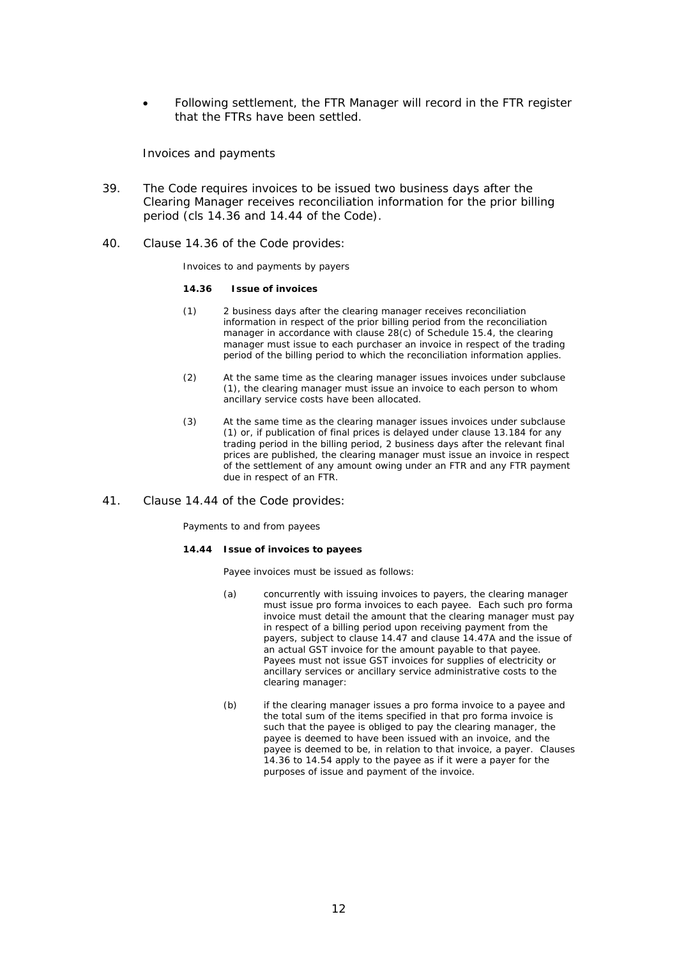Following settlement, the FTR Manager will record in the FTR register that the FTRs have been settled.

## *Invoices and payments*

- 39. The Code requires invoices to be issued two business days after the Clearing Manager receives reconciliation information for the prior billing period (cls 14.36 and 14.44 of the Code).
- 40. Clause 14.36 of the Code provides:

*Invoices to and payments by payers* 

#### **14.36 Issue of invoices**

- (1) 2 business days after the clearing manager receives reconciliation information in respect of the prior billing period from the reconciliation manager in accordance with clause 28(c) of Schedule 15.4, the clearing manager must issue to each purchaser an invoice in respect of the trading period of the billing period to which the reconciliation information applies.
- (2) At the same time as the clearing manager issues invoices under subclause (1), the clearing manager must issue an invoice to each person to whom ancillary service costs have been allocated.
- (3) At the same time as the clearing manager issues invoices under subclause (1) or, if publication of final prices is delayed under clause 13.184 for any trading period in the billing period, 2 business days after the relevant final prices are published, the clearing manager must issue an invoice in respect of the settlement of any amount owing under an FTR and any FTR payment due in respect of an FTR.

#### 41. Clause 14.44 of the Code provides:

*Payments to and from payees* 

#### **14.44 Issue of invoices to payees**

Payee invoices must be issued as follows:

- (a) concurrently with issuing invoices to payers, the clearing manager must issue pro forma invoices to each payee. Each such pro forma invoice must detail the amount that the clearing manager must pay in respect of a billing period upon receiving payment from the payers, subject to clause 14.47 and clause 14.47A and the issue of an actual GST invoice for the amount payable to that payee. Payees must not issue GST invoices for supplies of electricity or ancillary services or ancillary service administrative costs to the clearing manager:
- (b) if the clearing manager issues a pro forma invoice to a payee and the total sum of the items specified in that pro forma invoice is such that the payee is obliged to pay the clearing manager, the payee is deemed to have been issued with an invoice, and the payee is deemed to be, in relation to that invoice, a payer. Clauses 14.36 to 14.54 apply to the payee as if it were a payer for the purposes of issue and payment of the invoice.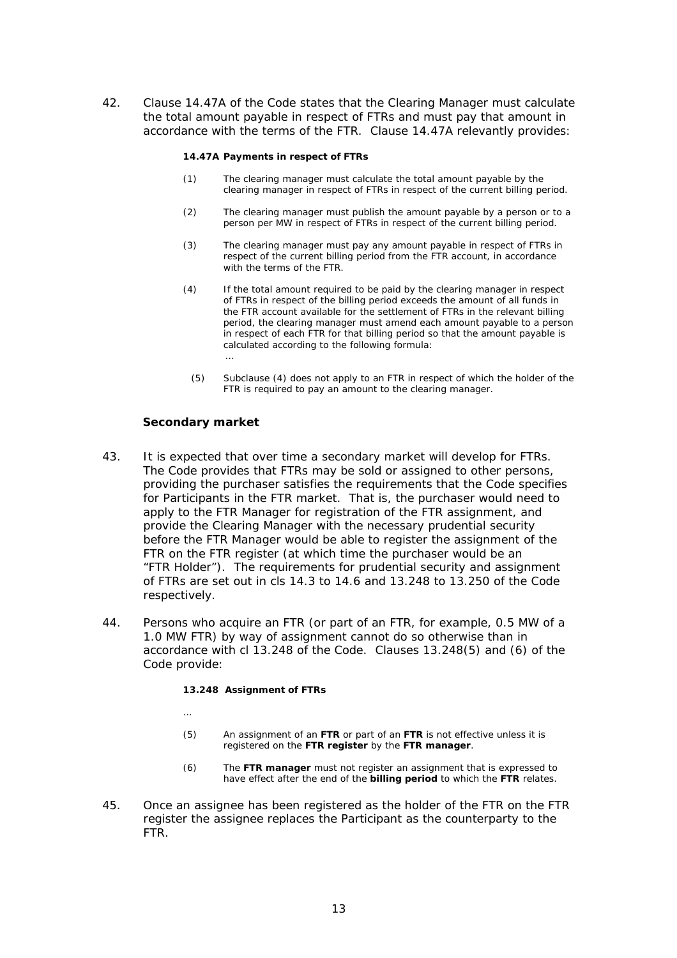42. Clause 14.47A of the Code states that the Clearing Manager must calculate the total amount payable in respect of FTRs and must pay that amount in accordance with the terms of the FTR. Clause 14.47A relevantly provides:

#### **14.47A Payments in respect of FTRs**

- (1) The clearing manager must calculate the total amount payable by the clearing manager in respect of FTRs in respect of the current billing period.
- (2) The clearing manager must publish the amount payable by a person or to a person per MW in respect of FTRs in respect of the current billing period.
- (3) The clearing manager must pay any amount payable in respect of FTRs in respect of the current billing period from the FTR account, in accordance with the terms of the FTR.
- (4) If the total amount required to be paid by the clearing manager in respect of FTRs in respect of the billing period exceeds the amount of all funds in the FTR account available for the settlement of FTRs in the relevant billing period, the clearing manager must amend each amount payable to a person in respect of each FTR for that billing period so that the amount payable is calculated according to the following formula: …
	- (5) Subclause (4) does not apply to an FTR in respect of which the holder of the FTR is required to pay an amount to the clearing manager.

## **Secondary market**

…

- 43. It is expected that over time a secondary market will develop for FTRs. The Code provides that FTRs may be sold or assigned to other persons, providing the purchaser satisfies the requirements that the Code specifies for Participants in the FTR market. That is, the purchaser would need to apply to the FTR Manager for registration of the FTR assignment, and provide the Clearing Manager with the necessary prudential security before the FTR Manager would be able to register the assignment of the FTR on the FTR register (at which time the purchaser would be an "FTR Holder"). The requirements for prudential security and assignment of FTRs are set out in cls 14.3 to 14.6 and 13.248 to 13.250 of the Code respectively.
- 44. Persons who acquire an FTR (or part of an FTR, for example, 0.5 MW of a 1.0 MW FTR) by way of assignment cannot do so otherwise than in accordance with cl 13.248 of the Code. Clauses 13.248(5) and (6) of the Code provide:

### **13.248 Assignment of FTRs**

- (5) An assignment of an **FTR** or part of an **FTR** is not effective unless it is registered on the **FTR register** by the **FTR manager**.
- (6) The **FTR manager** must not register an assignment that is expressed to have effect after the end of the **billing period** to which the **FTR** relates.
- 45. Once an assignee has been registered as the holder of the FTR on the FTR register the assignee replaces the Participant as the counterparty to the FTR.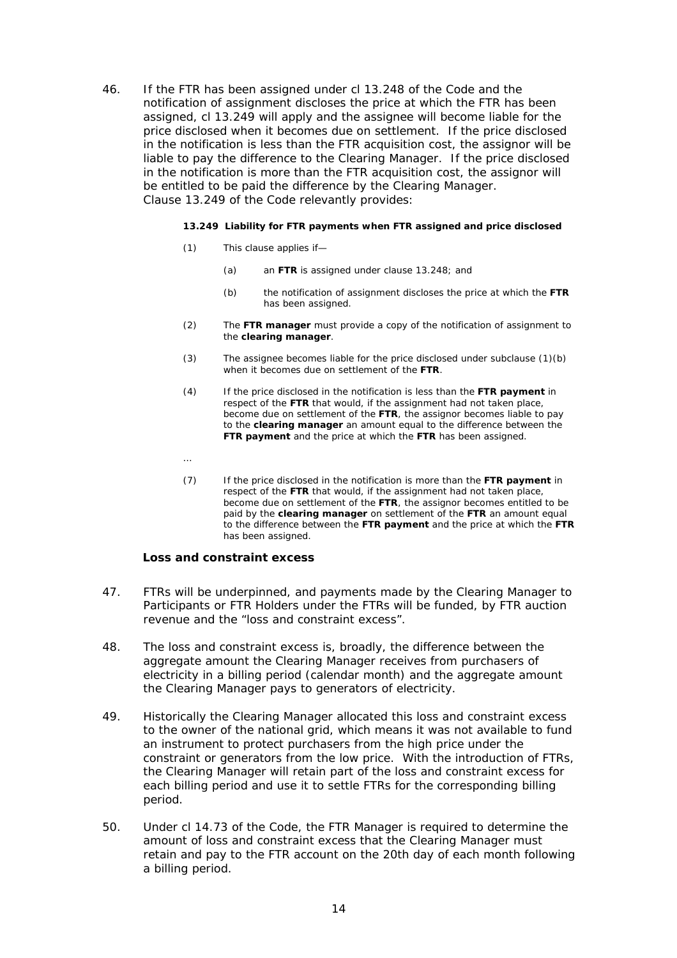46. If the FTR has been assigned under cl 13.248 of the Code and the notification of assignment discloses the price at which the FTR has been assigned, cl 13.249 will apply and the assignee will become liable for the price disclosed when it becomes due on settlement. If the price disclosed in the notification is less than the FTR acquisition cost, the assignor will be liable to pay the difference to the Clearing Manager. If the price disclosed in the notification is more than the FTR acquisition cost, the assignor will be entitled to be paid the difference by the Clearing Manager. Clause 13.249 of the Code relevantly provides:

### **13.249 Liability for FTR payments when FTR assigned and price disclosed**

- (1) This clause applies if—
	- (a) an **FTR** is assigned under clause 13.248; and
	- (b) the notification of assignment discloses the price at which the **FTR** has been assigned.
- (2) The **FTR manager** must provide a copy of the notification of assignment to the **clearing manager**.
- (3) The assignee becomes liable for the price disclosed under subclause (1)(b) when it becomes due on settlement of the **FTR**.
- (4) If the price disclosed in the notification is less than the **FTR payment** in respect of the **FTR** that would, if the assignment had not taken place, become due on settlement of the **FTR**, the assignor becomes liable to pay to the **clearing manager** an amount equal to the difference between the **FTR payment** and the price at which the **FTR** has been assigned.
- …
- (7) If the price disclosed in the notification is more than the **FTR payment** in respect of the **FTR** that would, if the assignment had not taken place, become due on settlement of the **FTR**, the assignor becomes entitled to be paid by the **clearing manager** on settlement of the **FTR** an amount equal to the difference between the **FTR payment** and the price at which the **FTR** has been assigned.

# **Loss and constraint excess**

- 47. FTRs will be underpinned, and payments made by the Clearing Manager to Participants or FTR Holders under the FTRs will be funded, by FTR auction revenue and the "loss and constraint excess".
- 48. The loss and constraint excess is, broadly, the difference between the aggregate amount the Clearing Manager receives from purchasers of electricity in a billing period (calendar month) and the aggregate amount the Clearing Manager pays to generators of electricity.
- 49. Historically the Clearing Manager allocated this loss and constraint excess to the owner of the national grid, which means it was not available to fund an instrument to protect purchasers from the high price under the constraint or generators from the low price. With the introduction of FTRs, the Clearing Manager will retain part of the loss and constraint excess for each billing period and use it to settle FTRs for the corresponding billing period.
- 50. Under cl 14.73 of the Code, the FTR Manager is required to determine the amount of loss and constraint excess that the Clearing Manager must retain and pay to the FTR account on the 20th day of each month following a billing period.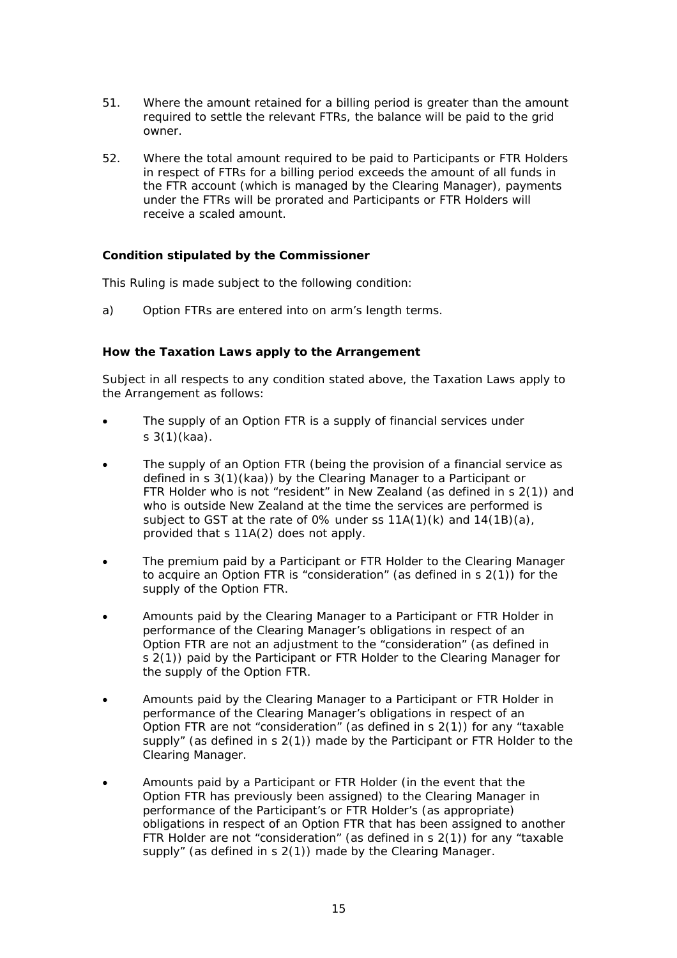- 51. Where the amount retained for a billing period is greater than the amount required to settle the relevant FTRs, the balance will be paid to the grid owner.
- 52. Where the total amount required to be paid to Participants or FTR Holders in respect of FTRs for a billing period exceeds the amount of all funds in the FTR account (which is managed by the Clearing Manager), payments under the FTRs will be prorated and Participants or FTR Holders will receive a scaled amount.

# **Condition stipulated by the Commissioner**

This Ruling is made subject to the following condition:

a) Option FTRs are entered into on arm's length terms.

# **How the Taxation Laws apply to the Arrangement**

Subject in all respects to any condition stated above, the Taxation Laws apply to the Arrangement as follows:

- The supply of an Option FTR is a supply of financial services under s 3(1)(kaa).
- The supply of an Option FTR (being the provision of a financial service as defined in s 3(1)(kaa)) by the Clearing Manager to a Participant or FTR Holder who is not "resident" in New Zealand (as defined in s 2(1)) and who is outside New Zealand at the time the services are performed is subject to GST at the rate of 0% under ss 11A(1)(k) and 14(1B)(a), provided that s 11A(2) does not apply.
- The premium paid by a Participant or FTR Holder to the Clearing Manager to acquire an Option FTR is "consideration" (as defined in s 2(1)) for the supply of the Option FTR.
- Amounts paid by the Clearing Manager to a Participant or FTR Holder in performance of the Clearing Manager's obligations in respect of an Option FTR are not an adjustment to the "consideration" (as defined in s 2(1)) paid by the Participant or FTR Holder to the Clearing Manager for the supply of the Option FTR.
- Amounts paid by the Clearing Manager to a Participant or FTR Holder in performance of the Clearing Manager's obligations in respect of an Option FTR are not "consideration" (as defined in s 2(1)) for any "taxable supply" (as defined in s 2(1)) made by the Participant or FTR Holder to the Clearing Manager.
- Amounts paid by a Participant or FTR Holder (in the event that the Option FTR has previously been assigned) to the Clearing Manager in performance of the Participant's or FTR Holder's (as appropriate) obligations in respect of an Option FTR that has been assigned to another FTR Holder are not "consideration" (as defined in s 2(1)) for any "taxable supply" (as defined in s 2(1)) made by the Clearing Manager.